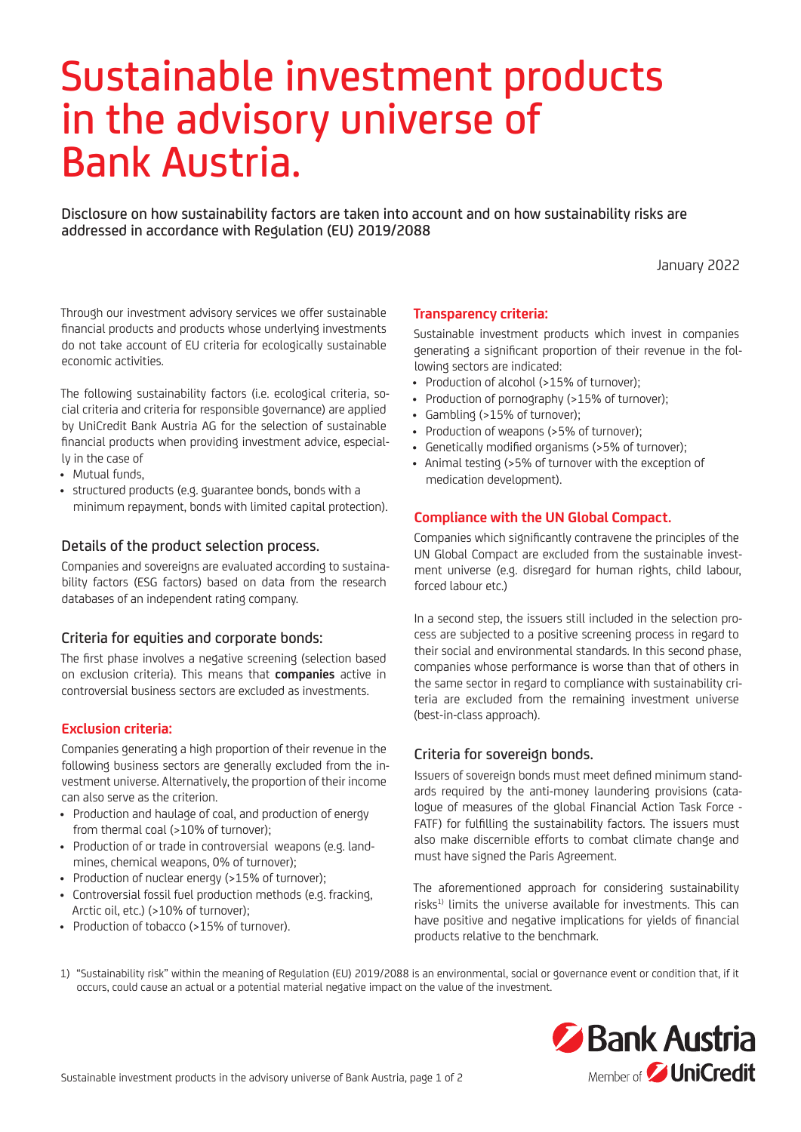# Sustainable investment products in the advisory universe of Bank Austria.

Disclosure on how sustainability factors are taken into account and on how sustainability risks are addressed in accordance with Regulation (EU) 2019/2088

January 2022

Through our investment advisory services we offer sustainable financial products and products whose underlying investments do not take account of EU criteria for ecologically sustainable economic activities.

The following sustainability factors (i.e. ecological criteria, social criteria and criteria for responsible governance) are applied by UniCredit Bank Austria AG for the selection of sustainable financial products when providing investment advice, especially in the case of

- Mutual funds,
- structured products (e.g. guarantee bonds, bonds with a minimum repayment, bonds with limited capital protection).

#### Details of the product selection process.

Companies and sovereigns are evaluated according to sustainability factors (ESG factors) based on data from the research databases of an independent rating company.

#### Criteria for equities and corporate bonds:

The first phase involves a negative screening (selection based on exclusion criteria). This means that **companies** active in controversial business sectors are excluded as investments.

### **Exclusion criteria:**

Companies generating a high proportion of their revenue in the following business sectors are generally excluded from the investment universe. Alternatively, the proportion of their income can also serve as the criterion.

- Production and haulage of coal, and production of energy from thermal coal (>10% of turnover);
- Production of or trade in controversial weapons (e.g. landmines, chemical weapons, 0% of turnover);
- Production of nuclear energy (>15% of turnover);
- Controversial fossil fuel production methods (e.g. fracking, Arctic oil, etc.) (>10% of turnover);
- Production of tobacco (>15% of turnover).

#### **Transparency criteria:**

Sustainable investment products which invest in companies generating a significant proportion of their revenue in the following sectors are indicated:

- Production of alcohol (>15% of turnover);
- Production of pornography (>15% of turnover);
- Gambling (>15% of turnover);
- Production of weapons (>5% of turnover);
- Genetically modified organisms (>5% of turnover);
- Animal testing (>5% of turnover with the exception of medication development).

#### **Compliance with the UN Global Compact.**

Companies which significantly contravene the principles of the UN Global Compact are excluded from the sustainable investment universe (e.g. disregard for human rights, child labour, forced labour etc.)

In a second step, the issuers still included in the selection process are subjected to a positive screening process in regard to their social and environmental standards. In this second phase, companies whose performance is worse than that of others in the same sector in regard to compliance with sustainability criteria are excluded from the remaining investment universe (best-in-class approach).

#### Criteria for sovereign bonds.

Issuers of sovereign bonds must meet defined minimum standards required by the anti-money laundering provisions (catalogue of measures of the global Financial Action Task Force - FATF) for fulfilling the sustainability factors. The issuers must also make discernible efforts to combat climate change and must have signed the Paris Agreement.

The aforementioned approach for considering sustainability risks<sup>1)</sup> limits the universe available for investments. This can have positive and negative implications for yields of financial products relative to the benchmark.

1) "Sustainability risk" within the meaning of Regulation (EU) 2019/2088 is an environmental, social or governance event or condition that, if it occurs, could cause an actual or a potential material negative impact on the value of the investment.